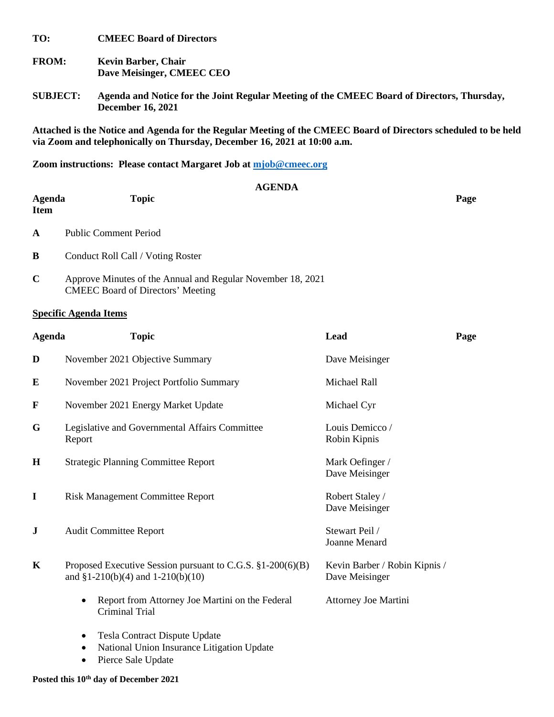**TO: CMEEC Board of Directors**

- **FROM: Kevin Barber, Chair Dave Meisinger, CMEEC CEO**
- **SUBJECT: Agenda and Notice for the Joint Regular Meeting of the CMEEC Board of Directors, Thursday, December 16, 2021**

**Attached is the Notice and Agenda for the Regular Meeting of the CMEEC Board of Directors scheduled to be held**  via Zoom and telephonically on Thursday, December 16, 2021 at 10:00 a.m.

**Zoom instructions: Please contact Margaret Job at [mjob@cmeec.org](mailto:mjob@cmeec.org)**

|                               | <b>AGENDA</b>                                                                                           |      |
|-------------------------------|---------------------------------------------------------------------------------------------------------|------|
| <b>Agenda</b><br><b>Item</b>  | <b>Topic</b>                                                                                            | Page |
| A                             | <b>Public Comment Period</b>                                                                            |      |
| B                             | Conduct Roll Call / Voting Roster                                                                       |      |
| $\mathbf C$                   | Approve Minutes of the Annual and Regular November 18, 2021<br><b>CMEEC</b> Board of Directors' Meeting |      |
| $\sim$<br>$\bullet$ $\bullet$ | .                                                                                                       |      |

## **Specific Agenda Items**

| <b>Agenda</b> | <b>Topic</b>                                                                                        | Lead                                            | Page |
|---------------|-----------------------------------------------------------------------------------------------------|-------------------------------------------------|------|
| D             | November 2021 Objective Summary                                                                     | Dave Meisinger                                  |      |
| E             | November 2021 Project Portfolio Summary                                                             | Michael Rall                                    |      |
| $\mathbf F$   | November 2021 Energy Market Update                                                                  | Michael Cyr                                     |      |
| G             | Legislative and Governmental Affairs Committee<br>Report                                            | Louis Demicco /<br>Robin Kipnis                 |      |
| $\mathbf H$   | <b>Strategic Planning Committee Report</b>                                                          | Mark Oefinger /<br>Dave Meisinger               |      |
| I             | <b>Risk Management Committee Report</b>                                                             | Robert Staley /<br>Dave Meisinger               |      |
| J             | <b>Audit Committee Report</b>                                                                       | Stewart Peil /<br>Joanne Menard                 |      |
| $\mathbf K$   | Proposed Executive Session pursuant to C.G.S. §1-200(6)(B)<br>and $$1-210(b)(4)$ and $1-210(b)(10)$ | Kevin Barber / Robin Kipnis /<br>Dave Meisinger |      |
|               | Report from Attorney Joe Martini on the Federal<br>Criminal Trial                                   | Attorney Joe Martini                            |      |
|               | Tesla Contract Dispute Update<br>National Union Insurance Litigation Update                         |                                                 |      |

• Pierce Sale Update

## **Posted this 10th day of December 2021**